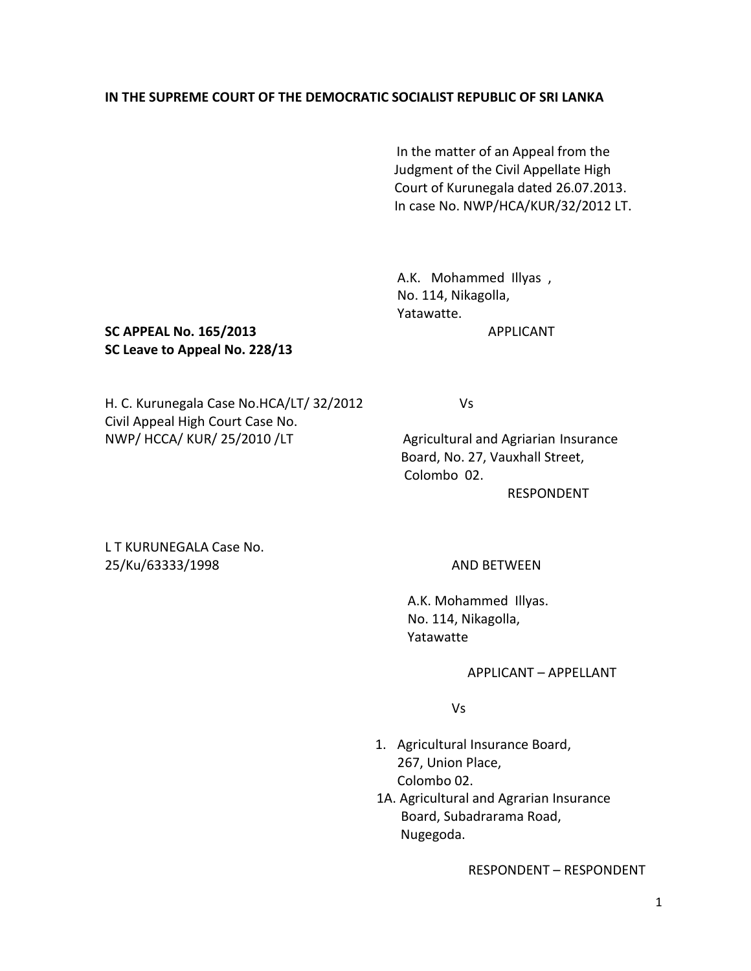## **IN THE SUPREME COURT OF THE DEMOCRATIC SOCIALIST REPUBLIC OF SRI LANKA**

 In the matter of an Appeal from the Judgment of the Civil Appellate High Court of Kurunegala dated 26.07.2013. In case No. NWP/HCA/KUR/32/2012 LT.

A.K. Mohammed Illyas , No. 114, Nikagolla, Yatawatte.

## **SC APPEAL No. 165/2013** APPLICANT **SC Leave to Appeal No. 228/13**

H. C. Kurunegala Case No.HCA/LT/ 32/2012 Vs Civil Appeal High Court Case No. NWP/ HCCA/ KUR/ 25/2010 /LT Agricultural and Agriarian Insurance

 Board, No. 27, Vauxhall Street, Colombo 02.

RESPONDENT

L T KURUNEGALA Case No. 25/Ku/63333/1998 AND BETWEEN

 A.K. Mohammed Illyas. No. 114, Nikagolla, Yatawatte

#### APPLICANT – APPELLANT

Vs

- 1. Agricultural Insurance Board, 267, Union Place, Colombo 02.
- 1A. Agricultural and Agrarian Insurance Board, Subadrarama Road, Nugegoda.

RESPONDENT – RESPONDENT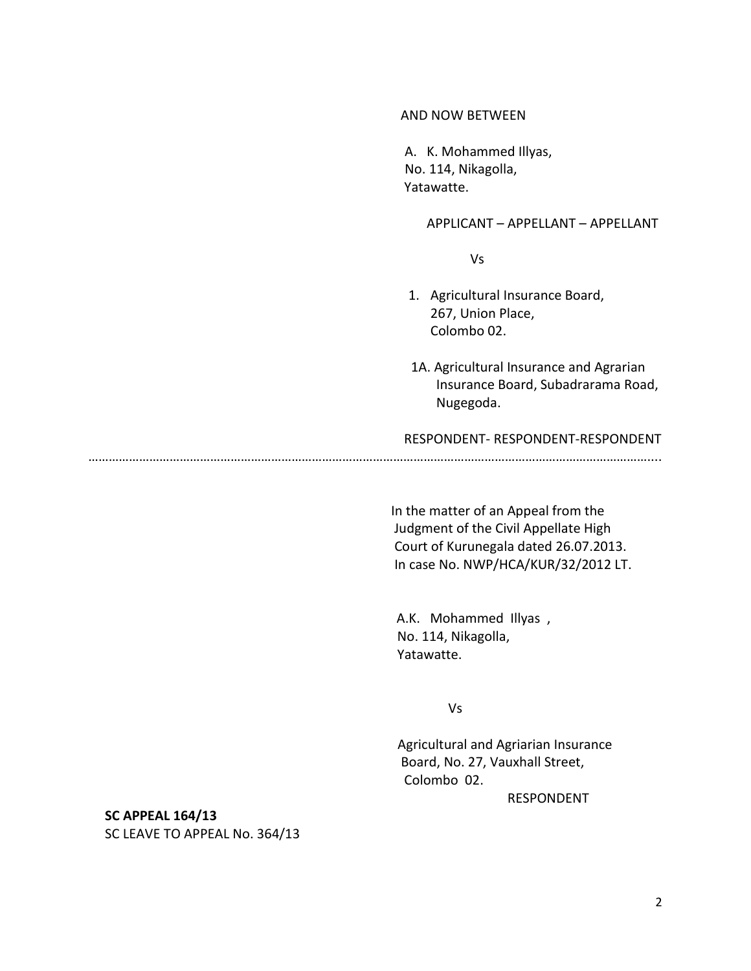### AND NOW BETWEEN

A. K. Mohammed Illyas, No. 114, Nikagolla, Yatawatte.

APPLICANT – APPELLANT – APPELLANT

Vs

- 1. Agricultural Insurance Board, 267, Union Place, Colombo 02.
- 1A. Agricultural Insurance and Agrarian Insurance Board, Subadrarama Road, Nugegoda.

RESPONDENT- RESPONDENT-RESPONDENT

…………………………………………………………………………………………………………………………………………………....

 In the matter of an Appeal from the Judgment of the Civil Appellate High Court of Kurunegala dated 26.07.2013. In case No. NWP/HCA/KUR/32/2012 LT.

 A.K. Mohammed Illyas , No. 114, Nikagolla, Yatawatte.

Vs

 Agricultural and Agriarian Insurance Board, No. 27, Vauxhall Street, Colombo 02.

RESPONDENT

**SC APPEAL 164/13**

SC LEAVE TO APPEAL No. 364/13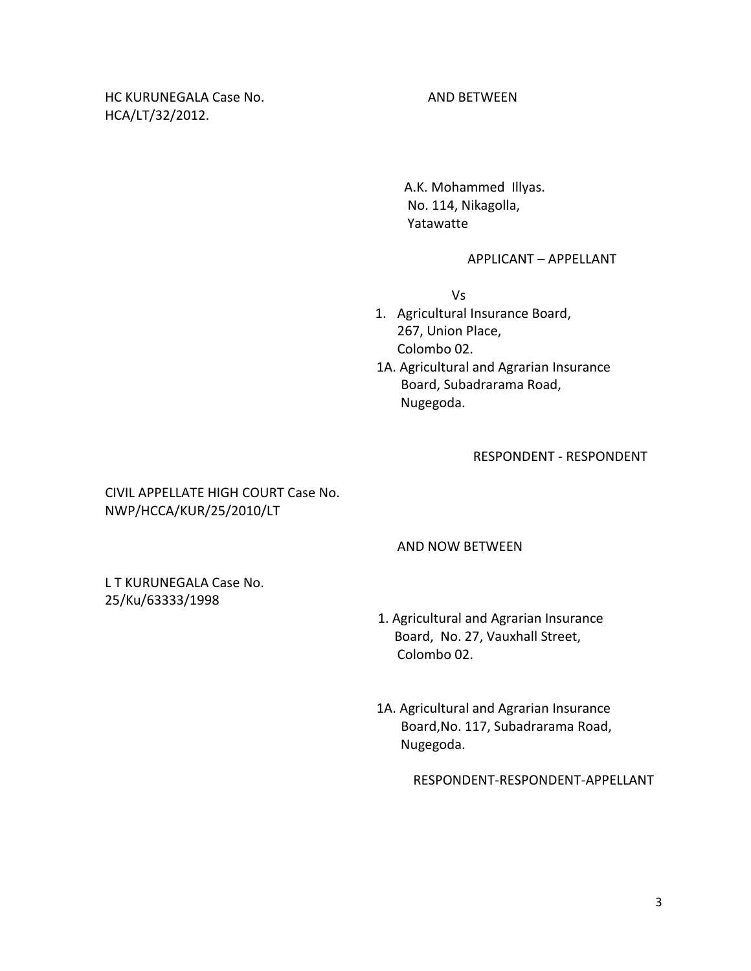HC KURUNEGALA Case No. AND BETWEEN HCA/LT/32/2012.

 A.K. Mohammed Illyas. No. 114, Nikagolla, Yatawatte

#### APPLICANT – APPELLANT

Vs

- 1. Agricultural Insurance Board, 267, Union Place, Colombo 02.
- 1A. Agricultural and Agrarian Insurance Board, Subadrarama Road, Nugegoda.

RESPONDENT - RESPONDENT

 CIVIL APPELLATE HIGH COURT Case No. NWP/HCCA/KUR/25/2010/LT

## AND NOW BETWEEN

L T KURUNEGALA Case No. 25/Ku/63333/1998

- 1. Agricultural and Agrarian Insurance Board, No. 27, Vauxhall Street, Colombo 02.
- 1A. Agricultural and Agrarian Insurance Board,No. 117, Subadrarama Road, Nugegoda.

RESPONDENT-RESPONDENT-APPELLANT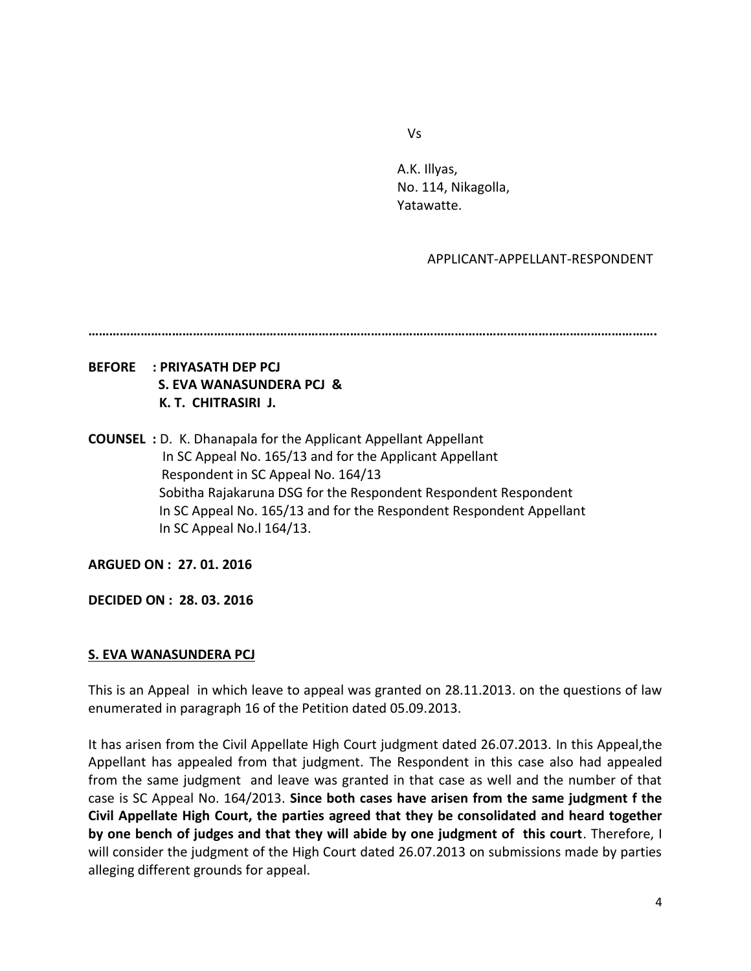Vs

A.K. Illyas, No. 114, Nikagolla, Yatawatte.

## APPLICANT-APPELLANT-RESPONDENT

**……………………………………………………………………………………………………………………………………………….**

# **BEFORE : PRIYASATH DEP PCJ S. EVA WANASUNDERA PCJ & K. T. CHITRASIRI J.**

**COUNSEL :** D. K. Dhanapala for the Applicant Appellant Appellant In SC Appeal No. 165/13 and for the Applicant Appellant Respondent in SC Appeal No. 164/13 Sobitha Rajakaruna DSG for the Respondent Respondent Respondent In SC Appeal No. 165/13 and for the Respondent Respondent Appellant In SC Appeal No.l 164/13.

**ARGUED ON : 27. 01. 2016**

**DECIDED ON : 28. 03. 2016**

## **S. EVA WANASUNDERA PCJ**

This is an Appeal in which leave to appeal was granted on 28.11.2013. on the questions of law enumerated in paragraph 16 of the Petition dated 05.09.2013.

It has arisen from the Civil Appellate High Court judgment dated 26.07.2013. In this Appeal,the Appellant has appealed from that judgment. The Respondent in this case also had appealed from the same judgment and leave was granted in that case as well and the number of that case is SC Appeal No. 164/2013. **Since both cases have arisen from the same judgment f the Civil Appellate High Court, the parties agreed that they be consolidated and heard together by one bench of judges and that they will abide by one judgment of this court**. Therefore, I will consider the judgment of the High Court dated 26.07.2013 on submissions made by parties alleging different grounds for appeal.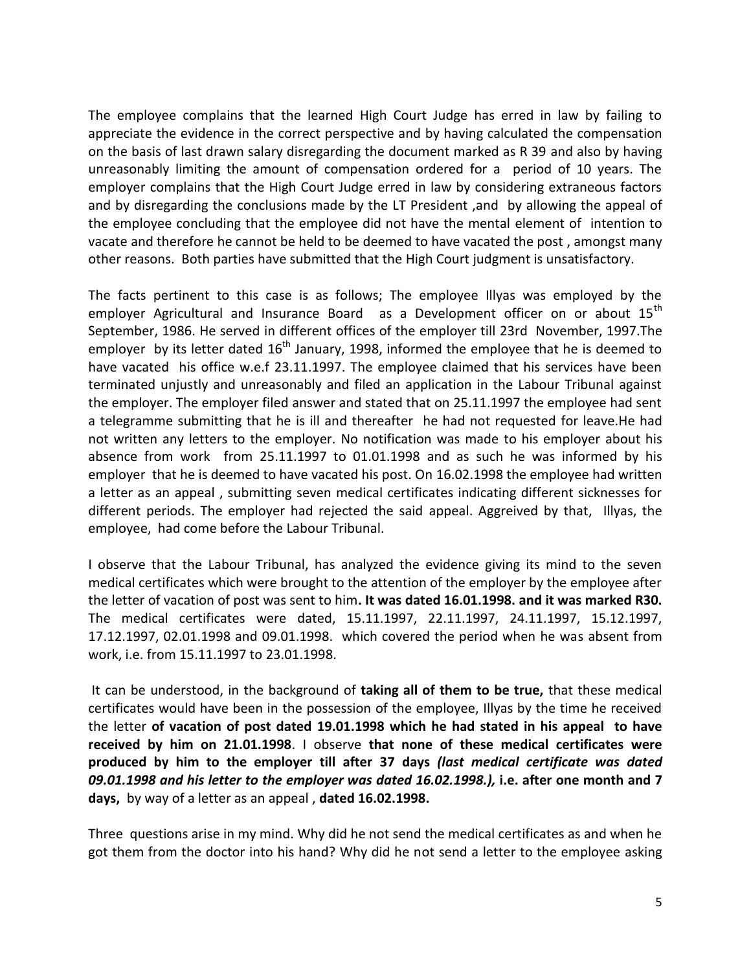The employee complains that the learned High Court Judge has erred in law by failing to appreciate the evidence in the correct perspective and by having calculated the compensation on the basis of last drawn salary disregarding the document marked as R 39 and also by having unreasonably limiting the amount of compensation ordered for a period of 10 years. The employer complains that the High Court Judge erred in law by considering extraneous factors and by disregarding the conclusions made by the LT President ,and by allowing the appeal of the employee concluding that the employee did not have the mental element of intention to vacate and therefore he cannot be held to be deemed to have vacated the post , amongst many other reasons. Both parties have submitted that the High Court judgment is unsatisfactory.

The facts pertinent to this case is as follows; The employee Illyas was employed by the employer Agricultural and Insurance Board as a Development officer on or about 15<sup>th</sup> September, 1986. He served in different offices of the employer till 23rd November, 1997.The employer by its letter dated  $16<sup>th</sup>$  January, 1998, informed the employee that he is deemed to have vacated his office w.e.f 23.11.1997. The employee claimed that his services have been terminated unjustly and unreasonably and filed an application in the Labour Tribunal against the employer. The employer filed answer and stated that on 25.11.1997 the employee had sent a telegramme submitting that he is ill and thereafter he had not requested for leave.He had not written any letters to the employer. No notification was made to his employer about his absence from work from 25.11.1997 to 01.01.1998 and as such he was informed by his employer that he is deemed to have vacated his post. On 16.02.1998 the employee had written a letter as an appeal , submitting seven medical certificates indicating different sicknesses for different periods. The employer had rejected the said appeal. Aggreived by that, Illyas, the employee, had come before the Labour Tribunal.

I observe that the Labour Tribunal, has analyzed the evidence giving its mind to the seven medical certificates which were brought to the attention of the employer by the employee after the letter of vacation of post was sent to him**. It was dated 16.01.1998. and it was marked R30.** The medical certificates were dated, 15.11.1997, 22.11.1997, 24.11.1997, 15.12.1997, 17.12.1997, 02.01.1998 and 09.01.1998. which covered the period when he was absent from work, i.e. from 15.11.1997 to 23.01.1998.

It can be understood, in the background of **taking all of them to be true,** that these medical certificates would have been in the possession of the employee, Illyas by the time he received the letter **of vacation of post dated 19.01.1998 which he had stated in his appeal to have received by him on 21.01.1998**. I observe **that none of these medical certificates were produced by him to the employer till after 37 days** *(last medical certificate was dated 09.01.1998 and his letter to the employer was dated 16.02.1998.),* **i.e. after one month and 7 days,** by way of a letter as an appeal , **dated 16.02.1998.** 

Three questions arise in my mind. Why did he not send the medical certificates as and when he got them from the doctor into his hand? Why did he not send a letter to the employee asking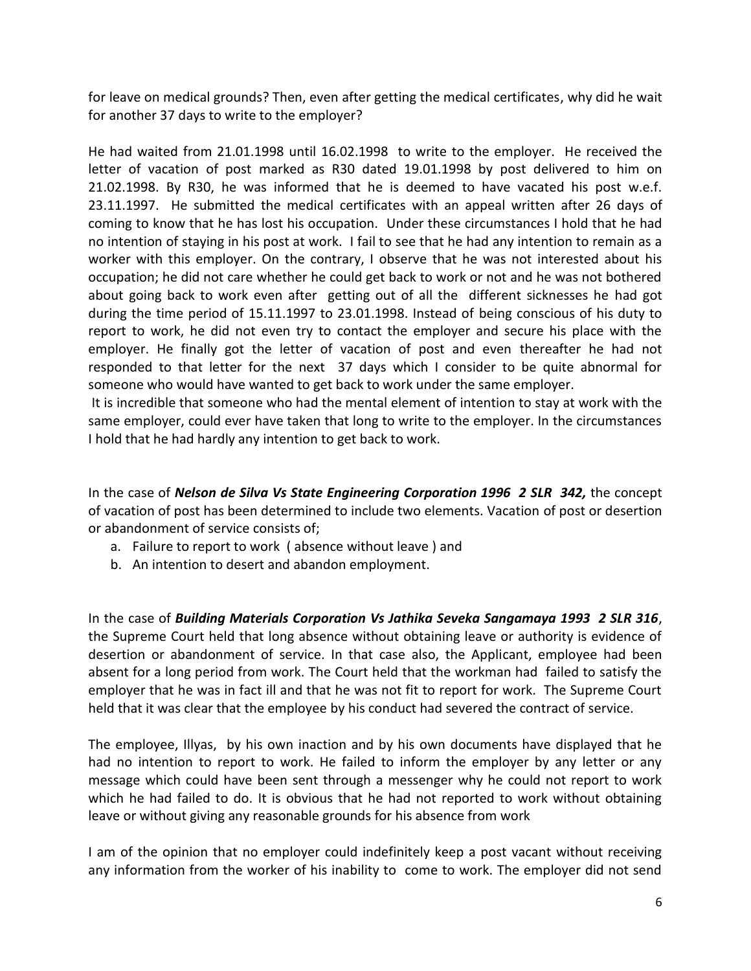for leave on medical grounds? Then, even after getting the medical certificates, why did he wait for another 37 days to write to the employer?

He had waited from 21.01.1998 until 16.02.1998 to write to the employer. He received the letter of vacation of post marked as R30 dated 19.01.1998 by post delivered to him on 21.02.1998. By R30, he was informed that he is deemed to have vacated his post w.e.f. 23.11.1997. He submitted the medical certificates with an appeal written after 26 days of coming to know that he has lost his occupation. Under these circumstances I hold that he had no intention of staying in his post at work. I fail to see that he had any intention to remain as a worker with this employer. On the contrary, I observe that he was not interested about his occupation; he did not care whether he could get back to work or not and he was not bothered about going back to work even after getting out of all the different sicknesses he had got during the time period of 15.11.1997 to 23.01.1998. Instead of being conscious of his duty to report to work, he did not even try to contact the employer and secure his place with the employer. He finally got the letter of vacation of post and even thereafter he had not responded to that letter for the next 37 days which I consider to be quite abnormal for someone who would have wanted to get back to work under the same employer.

It is incredible that someone who had the mental element of intention to stay at work with the same employer, could ever have taken that long to write to the employer. In the circumstances I hold that he had hardly any intention to get back to work.

In the case of *Nelson de Silva Vs State Engineering Corporation 1996 2 SLR 342,* the concept of vacation of post has been determined to include two elements. Vacation of post or desertion or abandonment of service consists of;

- a. Failure to report to work ( absence without leave ) and
- b. An intention to desert and abandon employment.

In the case of *Building Materials Corporation Vs Jathika Seveka Sangamaya 1993 2 SLR 316*, the Supreme Court held that long absence without obtaining leave or authority is evidence of desertion or abandonment of service. In that case also, the Applicant, employee had been absent for a long period from work. The Court held that the workman had failed to satisfy the employer that he was in fact ill and that he was not fit to report for work. The Supreme Court held that it was clear that the employee by his conduct had severed the contract of service.

The employee, Illyas, by his own inaction and by his own documents have displayed that he had no intention to report to work. He failed to inform the employer by any letter or any message which could have been sent through a messenger why he could not report to work which he had failed to do. It is obvious that he had not reported to work without obtaining leave or without giving any reasonable grounds for his absence from work

I am of the opinion that no employer could indefinitely keep a post vacant without receiving any information from the worker of his inability to come to work. The employer did not send